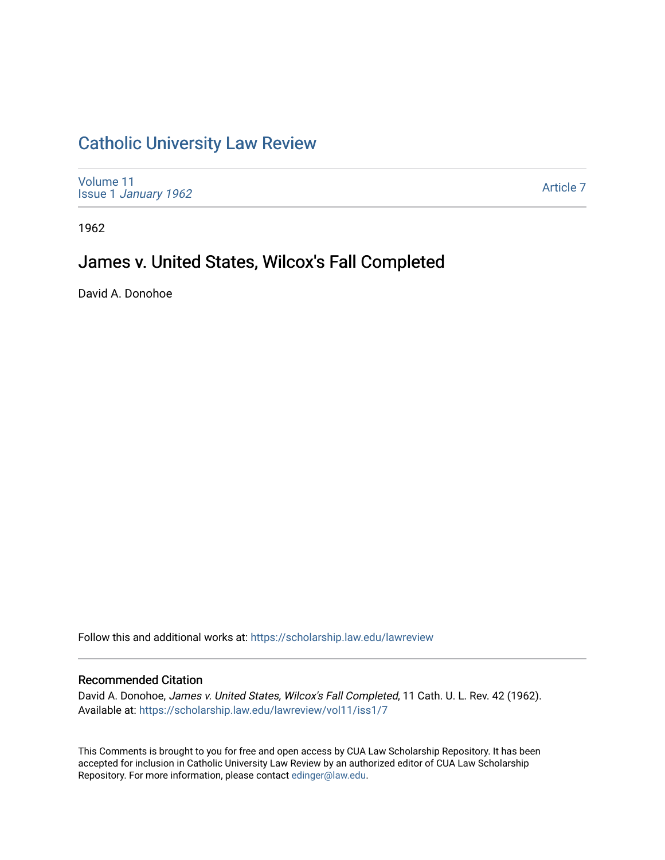# [Catholic University Law Review](https://scholarship.law.edu/lawreview)

[Volume 11](https://scholarship.law.edu/lawreview/vol11) Issue 1 [January 1962](https://scholarship.law.edu/lawreview/vol11/iss1)

[Article 7](https://scholarship.law.edu/lawreview/vol11/iss1/7) 

1962

# James v. United States, Wilcox's Fall Completed

David A. Donohoe

Follow this and additional works at: [https://scholarship.law.edu/lawreview](https://scholarship.law.edu/lawreview?utm_source=scholarship.law.edu%2Flawreview%2Fvol11%2Fiss1%2F7&utm_medium=PDF&utm_campaign=PDFCoverPages)

### Recommended Citation

David A. Donohoe, James v. United States, Wilcox's Fall Completed, 11 Cath. U. L. Rev. 42 (1962). Available at: [https://scholarship.law.edu/lawreview/vol11/iss1/7](https://scholarship.law.edu/lawreview/vol11/iss1/7?utm_source=scholarship.law.edu%2Flawreview%2Fvol11%2Fiss1%2F7&utm_medium=PDF&utm_campaign=PDFCoverPages)

This Comments is brought to you for free and open access by CUA Law Scholarship Repository. It has been accepted for inclusion in Catholic University Law Review by an authorized editor of CUA Law Scholarship Repository. For more information, please contact [edinger@law.edu.](mailto:edinger@law.edu)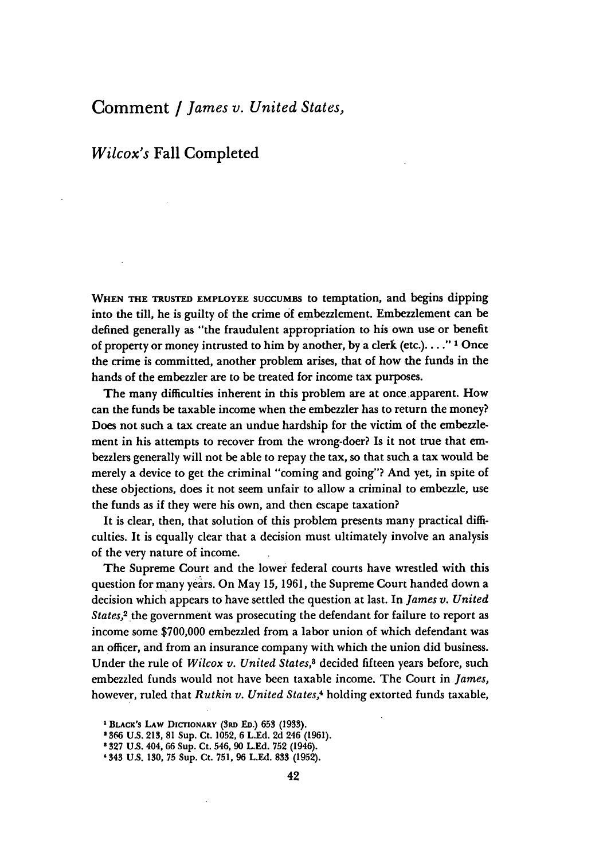## Comment **/** *James v. United States,*

### *Wilcox's* Fall Completed

**WHEN THE TRUSTED EMPLOYEE SUCCUMBS** to temptation, and begins dipping into the till, he is guilty of the crime **of** embezzlement. Embezzlement can be defined generally as "the fraudulent appropriation to his own use or benefit of property or money intrusted to him by another, by a clerk (etc.) **... ." 1** Once the crime is committed, another problem arises, that of how the funds in the hands of the embezzler are to be treated for income tax purposes.

The many difficulties inherent in this problem are at once apparent. How can the funds be taxable income when the embezzler has to return the money? Does not such a tax create an undue hardship for the victim of the embezzlement in his attempts to recover from the wrong-doer? Is it not true that embezzlers generally will not be able to repay the tax, so that such a tax would be merely a device to get the criminal "coming and going"? And yet, in spite of these objections, does it not seem unfair to allow a criminal to embezzle, use the funds as if they were his own, and then escape taxation?

It is clear, then, that solution of this problem presents many practical difficulties. It is equally clear that a decision must ultimately involve an analysis of the very nature of income.

The Supreme Court and the lower federal courts have wrestled with this question for many years. On May **15,** 1961, the Supreme Court handed down a decision which appears to have settled the question at last. In *James v. United States,2* the government was prosecuting the defendant for failure to report as income some \$700,000 embezzled from a labor union of which defendant was an officer, and from an insurance company with which the union did business. Under the rule of *Wilcox v. United States,8* decided fifteen years before, such embezzled funds would not have been taxable income. The Court in *James,* however, ruled that *Rutkin v. United States,4* holding extorted funds taxable,

**<sup>1</sup> BLACK'S LAW DICTIONARY (3RD ED.) 653 (1933).**

**<sup>2366</sup> U.S. 213, 81** Sup. Ct. **1052, 6 L.Ed. 2d** 246 **(1961).**

**<sup>327</sup> U.S. 404,** 66 **Sup. Ct. 546, 90 L.Ed. 752 (1946).**

**<sup>&#</sup>x27;343 U.S. 130, 75 Sup. Ct. 751, 96 L.Ed. 833 (1952).**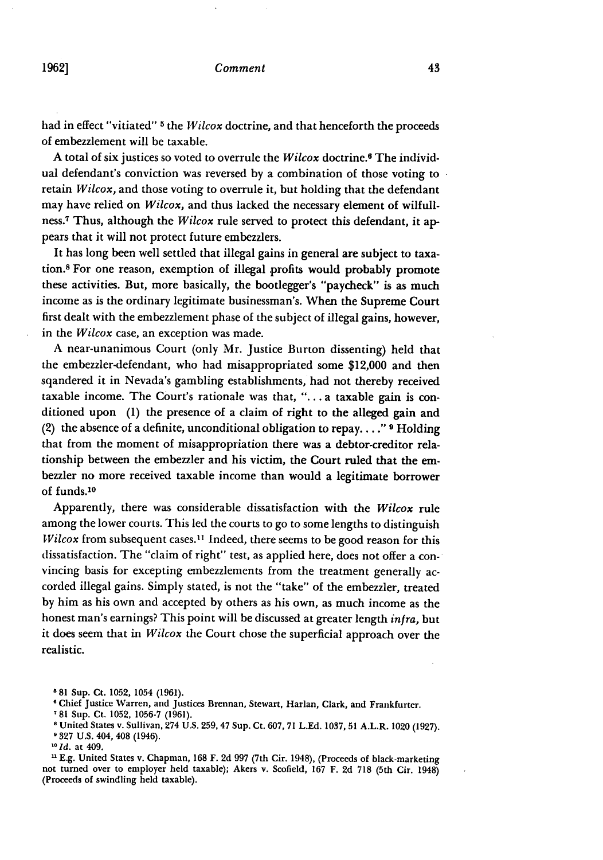had in effect "vitiated" **5** the *Wilcox* doctrine, and that henceforth the proceeds of embezzlement will be taxable.

A total of six justices so voted to overrule the *Wilcox* doctrine.6 The individual defendant's conviction was reversed by a combination of those voting to retain *Wilcox,* and those voting to overrule it, but holding that the defendant may have relied on *Wilcox,* and thus lacked the necessary element of wilfullness.7 Thus, although the *Wilcox* rule served to protect this defendant, it appears that it will not protect future embezzlers.

It has long been well settled that illegal gains in general are subject to taxation.8 For one reason, exemption of illegal profits would probably promote these activities. But, more basically, the bootlegger's "paycheck" is as much income as is the ordinary legitimate businessman's. When the Supreme Court first dealt with the embezzlement phase of the subject of illegal gains, however, in the *Wilcox* case, an exception was made.

A near-unanimous Court (only Mr. Justice Burton dissenting) held that the embezzler-defendant, who had misappropriated some \$12,000 and then sqandered it in Nevada's gambling establishments, had not thereby received taxable income. The Court's rationale was that, "... a taxable gain is conditioned upon (1) the presence of a claim of right to the alleged gain and (2) the absence of a definite, unconditional obligation to repay .... **" 9** Holding that from the moment of misappropriation there was a debtor-creditor relationship between the embezzler and his victim, the Court ruled that the embezzler no more received taxable income than would a legitimate borrower of funds.<sup>10</sup>

Apparently, there was considerable dissatisfaction with the *Wilcox* rule among the lower courts. This led the courts to go to some lengths to distinguish *Wilcox* from subsequent cases.<sup>11</sup> Indeed, there seems to be good reason for this dissatisfaction. The "claim of right" test, as applied here, does not offer a convincing basis for excepting embezzlements from the treatment generally accorded illegal gains. Simply stated, is not the "take" of the embezzler, treated by him as his own and accepted by others as his own, as much income as the honest man's earnings? This point will be discussed at greater length *infra,* but it does seem that in *Wilcox* the Court chose the superficial approach over the realistic.

n E.g. United States v. Chapman, 168 F. 2d 997 (7th Cir. 1948), (Proceeds of black-marketing not turned over to employer held taxable); Akers v. Scofield, 167 F. 2d 718 (5th Cir. 1948) (Proceeds of swindling held taxable).

**<sup>5</sup>** 81 Sup. Ct. 1052, 1054 (1961).

**<sup>6</sup>** Chief Justice Warren, and Justices Brennan, Stewart, Harlan, Clark, and Frankfurter.

<sup>&</sup>lt;sup>7</sup> 81 Sup. Ct. 1052, 1056-7 (1961).

United States v. Sullivan, 274 U.S. 259, 47 Sup. Ct. 607, 71 L.Ed. 1037, **51** A.L.R. 1020 (1927).

<sup>&#</sup>x27;327 U.S. 404, 408 (1946). *<sup>10</sup>*Id. at 409.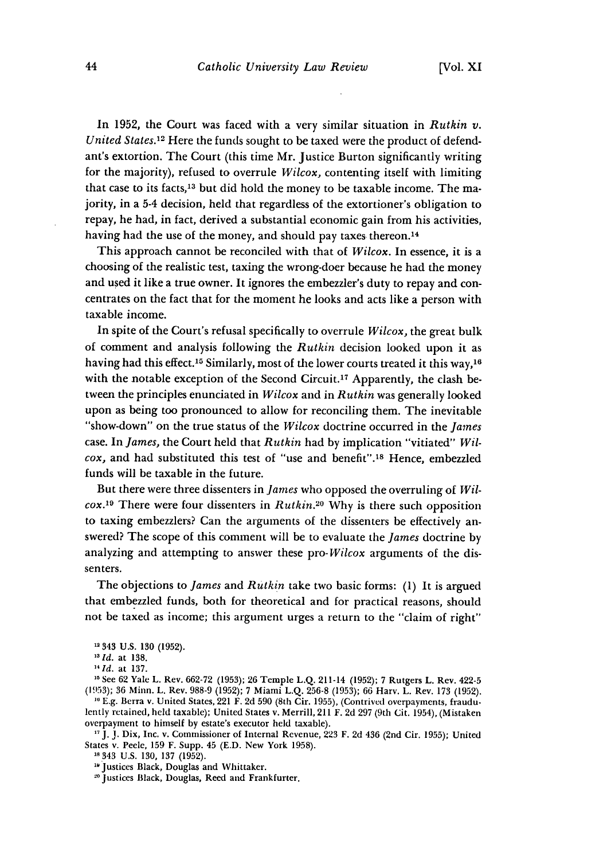In 1952, the Court was faced with a very similar situation in *Rutkin v. United States.12* Here the funds sought to be taxed were the product of defendant's extortion. The Court (this time Mr. Justice Burton significantly writing for the majority), refused to overrule *Wilcox,* contenting itself with limiting that case to its facts,<sup>13</sup> but did hold the money to be taxable income. The majority, in a 5-4 decision, held that regardless of the extortioner's obligation to repay, he had, in fact, derived a substantial economic gain from his activities, having had the use of the money, and should pay taxes thereon.<sup>14</sup>

This approach cannot be reconciled with that of *Wilcox.* In essence, it is a choosing of the realistic test, taxing the wrong-doer because he had the money and used it like a true owner. It ignores the embezzler's duty to repay and concentrates on the fact that for the moment he looks and acts like a person with taxable income.

In spite of the Court's refusal specifically to overrule *Wilcox,* the great bulk of comment and analysis following the *Rutkin* decision looked upon it as having had this effect.<sup>15</sup> Similarly, most of the lower courts treated it this way,<sup>16</sup> with the notable exception of the Second Circuit.<sup>17</sup> Apparently, the clash between the principles enunciated in *Wilcox* and in *Rutkin* was generally looked upon as being too pronounced to allow for reconciling them. The inevitable "show-down" on the true status of the *Wilcox* doctrine occurred in the *James* case. In *James,* the Court held that *Rutkin* had by implication "vitiated" *Wilcox,* and had substituted this test of "use and benefit".18 Hence, embezzled funds will be taxable in the future.

But there were three dissenters in *James* who opposed the overruling of *Wilcox.*<sup>19</sup> There were four dissenters in *Rutkin.*<sup>20</sup> Why is there such opposition to taxing embezzlers? Can the arguments of the dissenters be effectively answered? The scope of this comment will be to evaluate the *James* doctrine by analyzing and attempting to answer these *pro-Wilcox* arguments of the dissenters.

The objections to *James* and *Rutkin* take two basic forms: (1) It is argued that embezzled funds, both for theoretical and for practical reasons, should not be taxed as income; this argument urges a return to the "claim of right"

See 62 Yale L. Rev. 662-72 (1953); 26 Temple L.Q. 211-14 (1952); 7 Rutgers L. Rev. 422-5 (1953); 36 Minn. L. Rev. 988-9 (1952); 7 Miami L.Q. 256-8 (1953); 66 Harv. L. Rev. 173 (1952). **10** E.g. Berra v. United States, 221 F. 2d **590** (8th Cir. 1955), (Contrived overpayments, fraudu-

lently retained, held taxable); United States v. Merrill, 211 F. 2d 297 (9th Cit. 1954), (Mistaken overpayment to himself by estate's executor held taxable).

**1"** J. J. Dix, Inc. v. Commissioner of Internal Revenue, 223 F. 2d 436 (2nd Cir. 1955); United States v. Peele, 159 F. Supp. 45 (E.D. New York 1958).

**s** 343 U.S. 130, 137 (1952).

"Justices Black, Douglas and Whittaker. *<sup>20</sup>*Justices Black, Douglas, Reed and Frankfurter.

<sup>12343</sup> U.S. **130** (1952).

*<sup>&</sup>quot;Id.* at 138.

*<sup>&</sup>quot;Id.* at 137.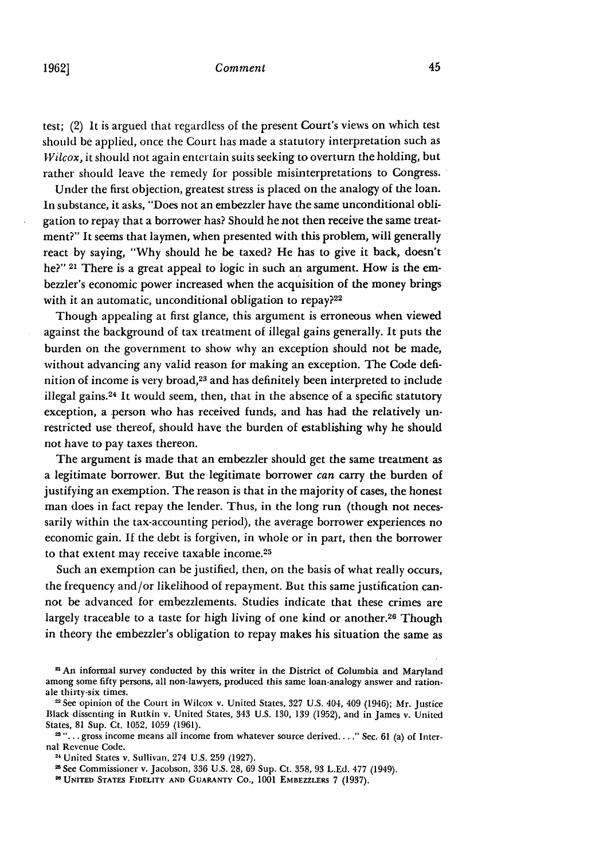### *Comment*

test; (2) It is argued that regardless of the present Court's views on which test should be applied, once the Court has made a statutory interpretation such as *Wilcox,* it should not again entertain suits seeking to overturn the holding, but rather should leave the remedy for possible misinterpretations to Congress.

Under the first objection, greatest stress is placed on the analogy of the loan. In substance, it asks, "Does not an embezzler have the same unconditional obligation to repay that a borrowerhas? Should he not then receive the same treatment?" It seems that laymen, when presented with this problem, will generally react by saying, "Why should he be taxed? He has to give it back, doesn't he?" **21** There is a great appeal to logic in such an argument. How is the embezzler's economic power increased when the acquisition of the money brings with it an automatic, unconditional obligation to repay?<sup>22</sup>

Though appealing at first glance, this argument is erroneous when viewed against the background of tax treatment of illegal gains generally. It puts the burden on the government to show why an exception should not be made, without advancing any valid reason for making an exception. The Code definition of income is very broad,<sup>23</sup> and has definitely been interpreted to include illegal gains.<sup>24</sup> It would seem, then, that in the absence of a specific statutory exception, a person who has received funds, and has had the relatively unrestricted use thereof, should have the burden of establishing why he should not have to pay taxes thereon.

The argument is made that an embezzler should get the same treatment as a legitimate borrower. But the legitimate borrower *can* carry the burden of justifying an exemption. The reason is that in the majority of cases, the honest man does in fact repay the lender. Thus, in the long run (though not necessarily within the tax-accounting period), the average borrower experiences no economic gain. **If** the debt is forgiven, in whole or in part, then the borrower to that extent may receive taxable income.<sup>25</sup>

Such an exemption can be justified, then, on the basis of what really occurs, the frequency and/or likelihood of repayment. But this same justification cannot be advanced for embezzlements. Studies indicate that these crimes are largely traceable to a taste for high living of one kind or another.<sup>26</sup> Though in theory the embezzler's obligation to repay makes his situation the same as

2 An informal survey conducted by this writer in the District of Columbia and Maryland among some fifty persons, all non-lawyers, produced this same loan-analogy answer and rationale thirty-six times.

See opinion of the Court in Wilcox v. United States, **327** U.S. 404, 409 (1946); Mr. Justice Black dissenting in Rutkin v. United States, 343 U.S. **130, 139 (1952),** and in James v. United States, **81** Sup. Ct. 1052, **1059 (1961).**

<sup>&</sup>lt;sup>23</sup> "... gross income means all income from whatever source derived...." Sec. 61 (a) of Internal Revenue Code.

<sup>24</sup> United States v. Sullivan, 274 U.S. **259** (1927).

<sup>2</sup>See Commissioner v. Jacobson, **336** U.S. **28, 69** Sup. Ct. **358, 93** L.Ed. **477** (1949).

**<sup>&#</sup>x27;a UNITED STATES FIDELITY AND GUARANTY CO., 1001** EMBEZZLERS **7 (1937).**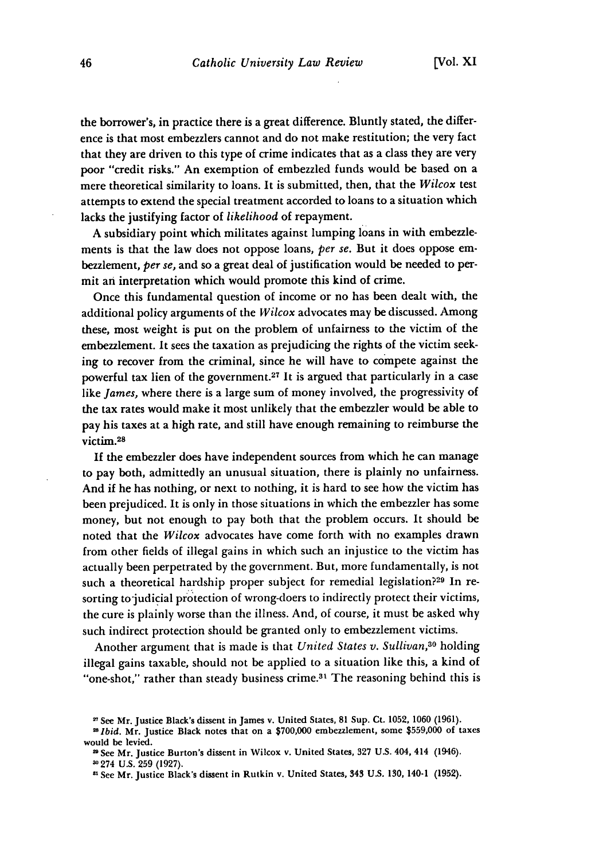the borrower's, in practice there is a great difference. Bluntly stated, the difference is that most embezzlers cannot and do not make restitution; the very fact that they are driven to this type of crime indicates that as a class they are very poor "credit risks." An exemption of embezzled funds would be based on a mere theoretical similarity to loans. It is submitted, then, that the *Wilcox* test attempts to extend the special treatment accorded to loans to a situation which lacks the justifying factor of *likelihood* of repayment.

A subsidiary point which militates against lumping loans in with embezzlements is that the law does not oppose loans, *per se.* But it does oppose embezzlement, *per se,* and so a great deal of justification would be needed to permit an interpretation which would promote this kind of crime.

Once this fundamental question of income or no has been dealt with, the additional policy arguments of the *Wilcox* advocates may be discussed. Among these, most weight is put on the problem of unfairness to the victim of the embezzlement. It sees the taxation as prejudicing the rights of the victim seeking to recover from the criminal, since he will have to compete against the powerful tax lien of the government.<sup>27</sup> It is argued that particularly in a case like *James,* where there is a large sum of money involved, the progressivity of the tax rates would make it most unlikely that the embezzler would be able to pay his taxes at a high rate, and still have enough remaining to reimburse the victim. <sup>28</sup>

If the embezzler does have independent sources from which he can manage to pay both, admittedly an unusual situation, there is plainly no unfairness. And if he has nothing, or next to nothing, it is hard to see how the victim has been prejudiced. It is only in those situations in which the embezzler has some money, but not enough to pay both that the problem occurs. It should be noted that the *Wilcox* advocates have come forth with no examples drawn from other fields of illegal gains in which such an injustice to the victim has actually been perpetrated by the government. But, more fundamentally, is not such a theoretical hardship proper subject for remedial legislation?<sup>29</sup> In resorting to judicial protection of wrong-doers to indirectly protect their victims, the cure is plainly worse than the illness. And, of course, it must be asked why such indirect protection should be granted only to embezzlement victims.

Another argument that is made is that *United States v. Sullivan*,<sup>30</sup> holding illegal gains taxable, should not be applied to a situation like this, a kind of "one-shot," rather than steady business crime.<sup>31</sup> The reasoning behind this is

<sup>&</sup>quot;See Mr. Justice Black's dissent in James v. United States, 81 Sup. Ct. **1052, 1060 (1961).**

<sup>8</sup> *Ibid.* Mr. Justice Black notes that on a **\$700,000** embezzlement, some \$559,000 of taxes would be levied.

See Mr. Justice Burton's dissent in Wilcox v. United States, 327 U.S. 404, 414 (1946).

**<sup>-</sup>** 274 **U.S. 259** (1927).

<sup>&</sup>quot;See Mr. Justice Black's dissent in Rutkin v. United States, 343 U.S. 130, 140-1 **(1952).**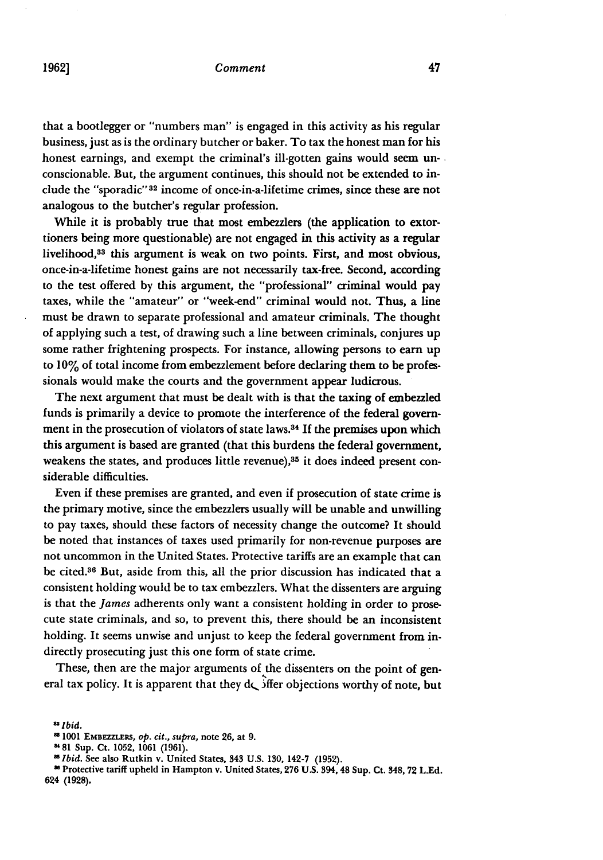#### *Comment*

that a bootlegger or "numbers man" is engaged in this activity as his regular business, just as is the ordinary butcher or baker. To tax the honest man for his honest earnings, and exempt the criminal's ill-gotten gains would seem unconscionable. But, the argument continues, this should not be extended to include the "sporadic" 32 income of once-in-a-lifetime crimes, since these are not analogous to the butcher's regular profession.

While it is probably true that most embezzlers (the application to extortioners being more questionable) are not engaged in this activity as a regular livelihood,<sup>33</sup> this argument is weak on two points. First, and most obvious, once-in-a-lifetime honest gains are not necessarily tax-free. Second, according to the test offered by this argument, the "professional" criminal would pay taxes, while the "amateur" or "week-end" criminal would not. Thus, a line must be drawn to separate professional and amateur criminals. The thought of applying such a test, of drawing such a line between criminals, conjures up some rather frightening prospects. For instance, allowing persons to earn up to **10%** of total income from embezzlement before declaring them to be professionals would make the courts and the government appear ludicrous.

The next argument that must be dealt with is that the taxing of embezzled funds is primarily a device to promote the interference of the federal government in the prosecution of violators of state laws.<sup>34</sup> If the premises upon which this argument is based are granted (that this burdens the federal government, weakens the states, and produces little revenue),<sup>35</sup> it does indeed present considerable difficulties.

Even if these premises are granted, and even if prosecution of state crime is the primary motive, since the embezzlers usually will be unable and unwilling to pay taxes, should these factors of necessity change the outcome? It should be noted that instances of taxes used primarily for non-revenue purposes are not uncommon in the United States. Protective tariffs are an example that can be cited.36 But, aside from this, all the prior discussion has indicated that a consistent holding would be to tax embezzlers. What the dissenters are arguing is that the *James* adherents only want a consistent holding in order to prosecute state criminals, and so, to prevent this, there should be an inconsistent holding. It seems unwise and unjust to keep the federal government from indirectly prosecuting just this one form of state crime.

These, then are the major arguments of the dissenters on the point of general tax policy. It is apparent that they  $d\zeta$  iffer objections worthy of note, but

*<sup>U</sup>Ibid.*

<sup>1001</sup> **EMBEZZLERS,** *op. cit., supra,* note **26,** at **9.**

**<sup>81</sup>** Sup. Ct. 1052, 1061 (1961).

*<sup>&#</sup>x27;Ibid.* See also Rutkin v. United States, 343 U.S. 130, 142-7 (1952). **<sup>0</sup>**Protective tariff upheld in Hampton v. United States, **276** U.S. 394, 48 Sup. Ct. 348, **72** L.Ed. 624 **(1928).**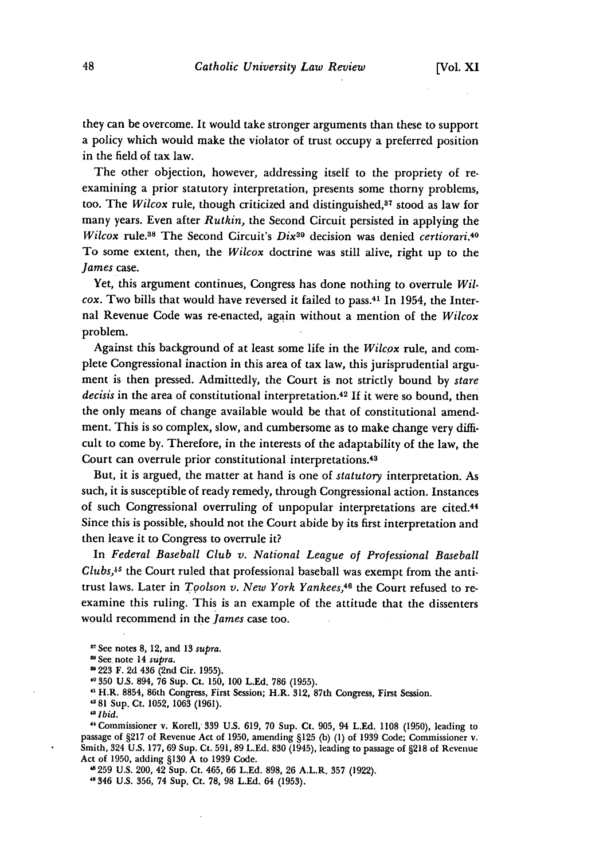they can be overcome. It would take stronger arguments than these to support a policy which would make the violator of trust occupy a preferred position in the field of tax law.

The other objection, however, addressing itself to the propriety of reexamining a prior statutory interpretation, presents some thorny problems, too. The *Wilcox* rule, though criticized and distinguished,<sup>37</sup> stood as law for many years. Even after *Rutkin,* the Second Circuit persisted in applying the *Wilcox* rule.38 The Second Circuit's *Dix39* decision was denied *certiorari.40* To some extent, then, the *Wilcox* doctrine was still alive, right up to the *James* case.

Yet, this argument continues, Congress has done nothing to overrule *Wilcox.* Two bills that would have reversed it failed to pass.41 In 1954, the Internal Revenue Code was re-enacted, again without a mention of the *Wilcox* problem.

Against this background of at least some life in the *Wilcox* rule, and complete Congressional inaction in this area of tax law, this jurisprudential argument is then pressed. Admittedly, the Court is not strictly bound by *stare decisis* in the area of constitutional interpretation. <sup>42</sup>**If** it were so bound, then the only means of change available would be that of constitutional amendment. This is so complex, slow, and cumbersome as to make change very difficult to come by. Therefore, in the interests of the adaptability of the law, the Court can overrule prior constitutional interpretations.<sup>43</sup>

But, it is argued, the matter at hand is one of *statutory* interpretation. As such, it is susceptible of ready remedy, through Congressional action. Instances of such Congressional overruling of unpopular interpretations are cited.<sup>44</sup> Since this is possible, should not the Court abide by its first interpretation and then leave it to Congress to overrule it?

In *Federal Baseball Club v. National League of Professional Baseball Clubs,45* the Court ruled that professional baseball was exempt from the antitrust laws. Later in *Toolson v. New York Yankees*,<sup>46</sup> the Court refused to reexamine this ruling. This is an example of the attitude that the dissenters would recommend in the *James* case too.

- <sup>88</sup> See note 14 supra.
- 223 F. 2d 436 (2nd Cir. 1955).
- 350 U.S. 894, 76 Sup. Ct. 150, 100 L.Ed. 786 (1955).
- "H.R. 8854, 86th Congress, First Session; H.R. 312, 87th Congress, First Session.

81 Sup. Ct. 1052, 1063 (1961).

*Ibid.*

"Commissioner v. Korell, 339 U.S. 619, 70 Sup. Ct. 905, 94 L.Ed. 1108 (1950), leading to passage of §217 of Revenue Act of 1950, amending §125 **(b)** (1) of 1939 Code; Commissioner v. Smith, 324 U.S. 177, 69 Sup. Ct. 591, 89 L.Ed. 830 (1945), leading to passage of §218 of Revenue Act of 1950, adding §130 A to 1939 Code.

"259 U.S. 200, 42 Sup. Ct. 465, 66 L.Ed. 898, 26 A.L.R. 357 (1922). "0 346 **U.S.** 356, 74 Sup. Ct. **78, 98 L.Ed.** 64 (1953).

See notes 8, 12, and 13 *supra.*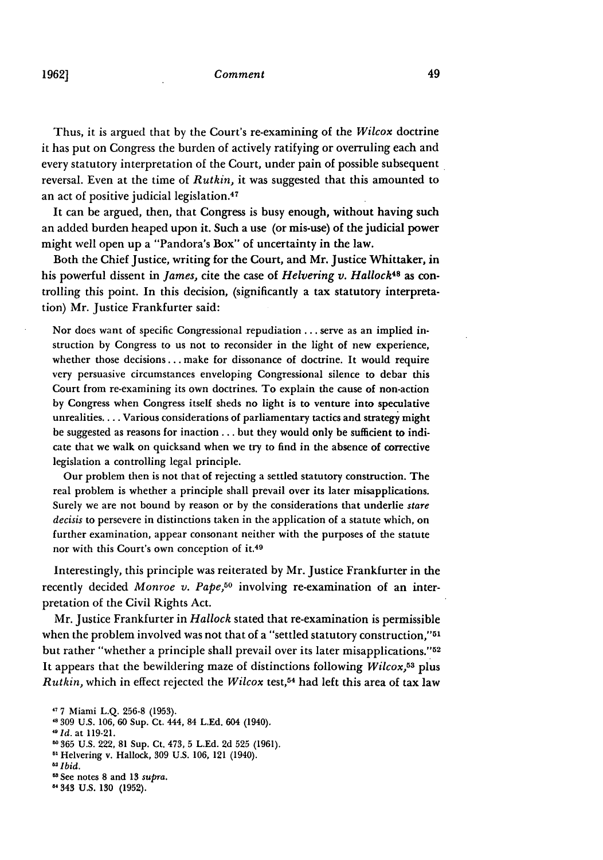#### *Comment*

Thus, it is argued that **by** the Court's re-examining of the *Wilcox* doctrine it has put on Congress the burden of actively ratifying or overruling each and every statutory interpretation of the Court, under pain of possible subsequent reversal. Even at the time of *Rutkin,* it was suggested that this amounted to an act of positive judicial legislation.<sup>47</sup>

It can be argued, then, that Congress is busy enough, without having such an added burden heaped upon it. Such a use (or mis-use) of the judicial power might well open up a "Pandora's Box" of uncertainty in the law.

Both the Chief Justice, writing for the Court, and Mr. Justice Whittaker, in his powerful dissent in *James*, cite the case of *Helvering v. Hallock*<sup>48</sup> as controlling this point. In this decision, (significantly a tax statutory interpretation) Mr. Justice Frankfurter said:

Nor does want of specific Congressional repudiation **...** serve as an implied instruction by Congress to us not to reconsider in the light of new experience, whether those decisions.., make for dissonance of doctrine. It would require very persuasive circumstances enveloping Congressional silence to debar this Court from re-examining its own doctrines. To explain the cause of non-action **by** Congress when Congress itself sheds no light is to venture into speculative unrealities.... Various considerations of parliamentary tactics and strategy might be suggested as reasons for inaction **...** but they would only be sufficient to indicate that we walk on quicksand when we try to find in the absence of corrective legislation a controlling legal principle.

Our problem then is not that of rejecting a settled statutory construction. The real problem is whether a principle shall prevail over its later misapplications. Surely we are not bound **by** reason or **by** the considerations that underlie *stare decisis* to persevere in distinctions taken in the application of a statute which, on further examination, appear consonant neither with the purposes of the statute nor with this Court's own conception **of it.4 <sup>9</sup>**

Interestingly, this principle was reiterated **by** Mr. Justice Frankfurter in the recently decided *Monroe v. Pape,50* involving re-examination of an interpretation of the Civil Rights Act.

Mr. Justice Frankfurter in *Hallock* stated that re-examination is permissible when the problem involved was not that of a "settled statutory construction,"<sup>51</sup> but rather "whether a principle shall prevail over its later misapplications."52 It appears that the bewildering maze of distinctions following *Wilcox, <sup>53</sup>***plus** *Rutkin,* which in effect rejected the *Wilcox* test,54 had left this area of tax law

- Helvering v. Hallock, **309** U.S. 106, 121 (1940).
- *'2Ibid.*
- "See notes 8 and 13 *supra.*
- "343 U.S. **130** (1952).

**<sup>&#</sup>x27;7** 7 Miami L.Q. 256-8 (1953).

<sup>&#</sup>x27;p309 U.S. 106, 60 Sup. Ct. 444, 84 LEd. 604 (1940).

*<sup>&</sup>quot;Id.* at 119-21.

**<sup>30</sup>** 865 U.S. 222, 81 Sup. Ct. 473, 5 L.Ed. 2d 525 (1961).